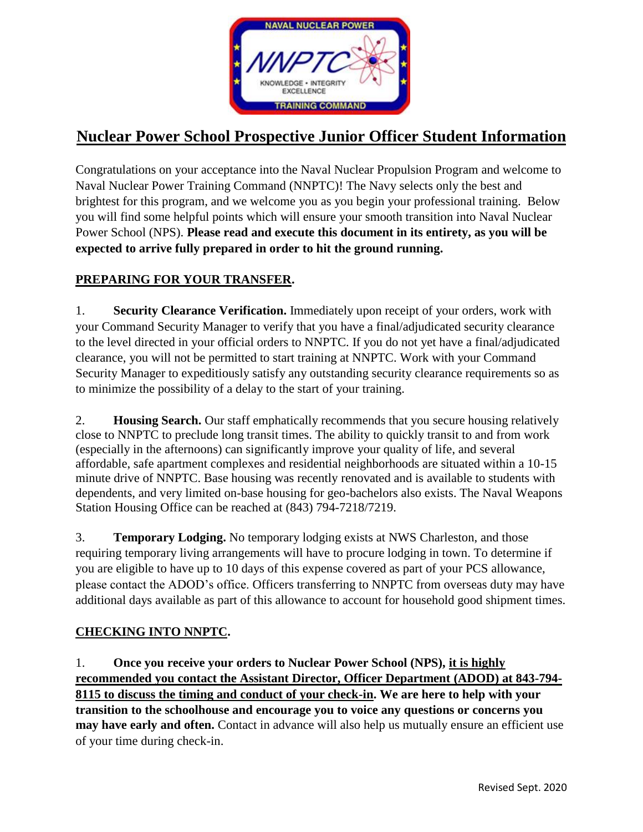

# **Nuclear Power School Prospective Junior Officer Student Information**

Congratulations on your acceptance into the Naval Nuclear Propulsion Program and welcome to Naval Nuclear Power Training Command (NNPTC)! The Navy selects only the best and brightest for this program, and we welcome you as you begin your professional training. Below you will find some helpful points which will ensure your smooth transition into Naval Nuclear Power School (NPS). **Please read and execute this document in its entirety, as you will be expected to arrive fully prepared in order to hit the ground running.**

### **PREPARING FOR YOUR TRANSFER.**

1. **Security Clearance Verification.** Immediately upon receipt of your orders, work with your Command Security Manager to verify that you have a final/adjudicated security clearance to the level directed in your official orders to NNPTC. If you do not yet have a final/adjudicated clearance, you will not be permitted to start training at NNPTC. Work with your Command Security Manager to expeditiously satisfy any outstanding security clearance requirements so as to minimize the possibility of a delay to the start of your training.

2. **Housing Search.** Our staff emphatically recommends that you secure housing relatively close to NNPTC to preclude long transit times. The ability to quickly transit to and from work (especially in the afternoons) can significantly improve your quality of life, and several affordable, safe apartment complexes and residential neighborhoods are situated within a 10-15 minute drive of NNPTC. Base housing was recently renovated and is available to students with dependents, and very limited on-base housing for geo-bachelors also exists. The Naval Weapons Station Housing Office can be reached at (843) 794-7218/7219.

3. **Temporary Lodging.** No temporary lodging exists at NWS Charleston, and those requiring temporary living arrangements will have to procure lodging in town. To determine if you are eligible to have up to 10 days of this expense covered as part of your PCS allowance, please contact the ADOD's office. Officers transferring to NNPTC from overseas duty may have additional days available as part of this allowance to account for household good shipment times.

### **CHECKING INTO NNPTC.**

1. **Once you receive your orders to Nuclear Power School (NPS), it is highly recommended you contact the Assistant Director, Officer Department (ADOD) at 843-794- 8115 to discuss the timing and conduct of your check-in. We are here to help with your transition to the schoolhouse and encourage you to voice any questions or concerns you may have early and often.** Contact in advance will also help us mutually ensure an efficient use of your time during check-in.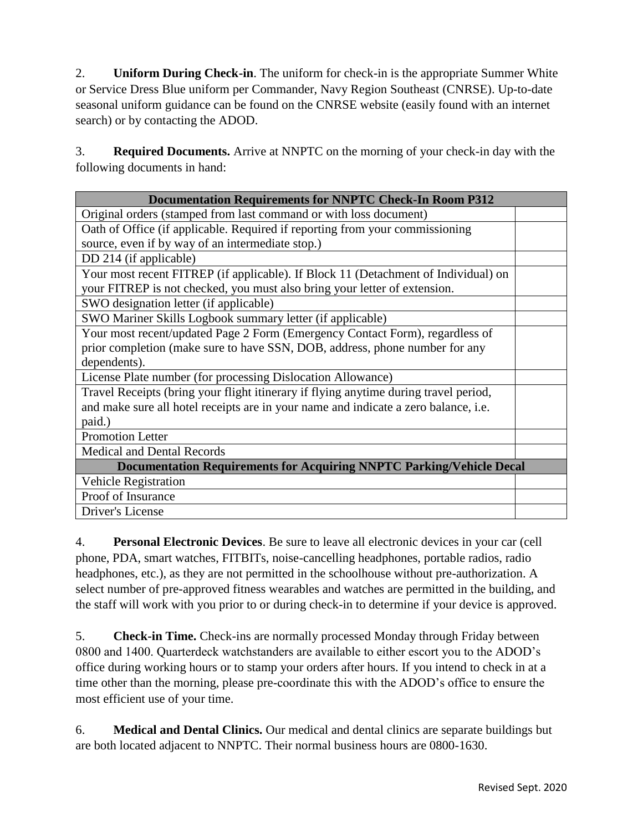2. **Uniform During Check-in**. The uniform for check-in is the appropriate Summer White or Service Dress Blue uniform per Commander, Navy Region Southeast (CNRSE). Up-to-date seasonal uniform guidance can be found on the CNRSE website (easily found with an internet search) or by contacting the ADOD.

3. **Required Documents.** Arrive at NNPTC on the morning of your check-in day with the following documents in hand:

| <b>Documentation Requirements for NNPTC Check-In Room P312</b>                       |  |
|--------------------------------------------------------------------------------------|--|
| Original orders (stamped from last command or with loss document)                    |  |
| Oath of Office (if applicable. Required if reporting from your commissioning         |  |
| source, even if by way of an intermediate stop.)                                     |  |
| DD 214 (if applicable)                                                               |  |
| Your most recent FITREP (if applicable). If Block 11 (Detachment of Individual) on   |  |
| your FITREP is not checked, you must also bring your letter of extension.            |  |
| SWO designation letter (if applicable)                                               |  |
| SWO Mariner Skills Logbook summary letter (if applicable)                            |  |
| Your most recent/updated Page 2 Form (Emergency Contact Form), regardless of         |  |
| prior completion (make sure to have SSN, DOB, address, phone number for any          |  |
| dependents).                                                                         |  |
| License Plate number (for processing Dislocation Allowance)                          |  |
| Travel Receipts (bring your flight itinerary if flying anytime during travel period, |  |
| and make sure all hotel receipts are in your name and indicate a zero balance, i.e.  |  |
| paid.)                                                                               |  |
| <b>Promotion Letter</b>                                                              |  |
| Medical and Dental Records                                                           |  |
| <b>Documentation Requirements for Acquiring NNPTC Parking/Vehicle Decal</b>          |  |
| <b>Vehicle Registration</b>                                                          |  |
| Proof of Insurance                                                                   |  |
| Driver's License                                                                     |  |

4. **Personal Electronic Devices**. Be sure to leave all electronic devices in your car (cell phone, PDA, smart watches, FITBITs, noise-cancelling headphones, portable radios, radio headphones, etc.), as they are not permitted in the schoolhouse without pre-authorization. A select number of pre-approved fitness wearables and watches are permitted in the building, and the staff will work with you prior to or during check-in to determine if your device is approved.

5. **Check-in Time.** Check-ins are normally processed Monday through Friday between 0800 and 1400. Quarterdeck watchstanders are available to either escort you to the ADOD's office during working hours or to stamp your orders after hours. If you intend to check in at a time other than the morning, please pre-coordinate this with the ADOD's office to ensure the most efficient use of your time.

6. **Medical and Dental Clinics.** Our medical and dental clinics are separate buildings but are both located adjacent to NNPTC. Their normal business hours are 0800-1630.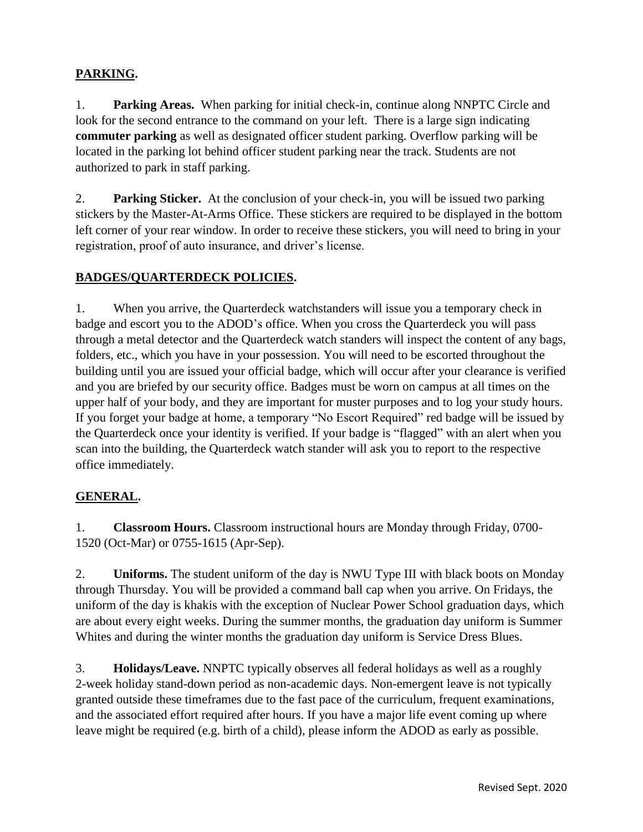### **PARKING.**

1. **Parking Areas.** When parking for initial check-in, continue along NNPTC Circle and look for the second entrance to the command on your left. There is a large sign indicating **commuter parking** as well as designated officer student parking. Overflow parking will be located in the parking lot behind officer student parking near the track. Students are not authorized to park in staff parking.

2. **Parking Sticker.** At the conclusion of your check-in, you will be issued two parking stickers by the Master-At-Arms Office. These stickers are required to be displayed in the bottom left corner of your rear window. In order to receive these stickers, you will need to bring in your registration, proof of auto insurance, and driver's license.

#### **BADGES/QUARTERDECK POLICIES.**

1. When you arrive, the Quarterdeck watchstanders will issue you a temporary check in badge and escort you to the ADOD's office. When you cross the Quarterdeck you will pass through a metal detector and the Quarterdeck watch standers will inspect the content of any bags, folders, etc., which you have in your possession. You will need to be escorted throughout the building until you are issued your official badge, which will occur after your clearance is verified and you are briefed by our security office. Badges must be worn on campus at all times on the upper half of your body, and they are important for muster purposes and to log your study hours. If you forget your badge at home, a temporary "No Escort Required" red badge will be issued by the Quarterdeck once your identity is verified. If your badge is "flagged" with an alert when you scan into the building, the Quarterdeck watch stander will ask you to report to the respective office immediately.

#### **GENERAL.**

1. **Classroom Hours.** Classroom instructional hours are Monday through Friday, 0700- 1520 (Oct-Mar) or 0755-1615 (Apr-Sep).

2. **Uniforms.** The student uniform of the day is NWU Type III with black boots on Monday through Thursday. You will be provided a command ball cap when you arrive. On Fridays, the uniform of the day is khakis with the exception of Nuclear Power School graduation days, which are about every eight weeks. During the summer months, the graduation day uniform is Summer Whites and during the winter months the graduation day uniform is Service Dress Blues.

3. **Holidays/Leave.** NNPTC typically observes all federal holidays as well as a roughly 2-week holiday stand-down period as non-academic days. Non-emergent leave is not typically granted outside these timeframes due to the fast pace of the curriculum, frequent examinations, and the associated effort required after hours. If you have a major life event coming up where leave might be required (e.g. birth of a child), please inform the ADOD as early as possible.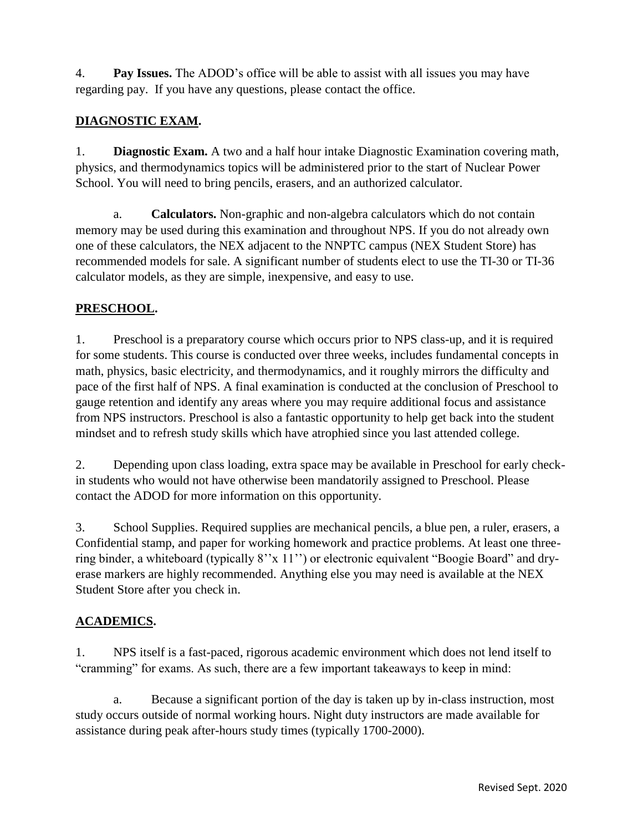4. **Pay Issues.** The ADOD's office will be able to assist with all issues you may have regarding pay. If you have any questions, please contact the office.

### **DIAGNOSTIC EXAM.**

1. **Diagnostic Exam.** A two and a half hour intake Diagnostic Examination covering math, physics, and thermodynamics topics will be administered prior to the start of Nuclear Power School. You will need to bring pencils, erasers, and an authorized calculator.

a. **Calculators.** Non-graphic and non-algebra calculators which do not contain memory may be used during this examination and throughout NPS. If you do not already own one of these calculators, the NEX adjacent to the NNPTC campus (NEX Student Store) has recommended models for sale. A significant number of students elect to use the TI-30 or TI-36 calculator models, as they are simple, inexpensive, and easy to use.

### **PRESCHOOL.**

1. Preschool is a preparatory course which occurs prior to NPS class-up, and it is required for some students. This course is conducted over three weeks, includes fundamental concepts in math, physics, basic electricity, and thermodynamics, and it roughly mirrors the difficulty and pace of the first half of NPS. A final examination is conducted at the conclusion of Preschool to gauge retention and identify any areas where you may require additional focus and assistance from NPS instructors. Preschool is also a fantastic opportunity to help get back into the student mindset and to refresh study skills which have atrophied since you last attended college.

2. Depending upon class loading, extra space may be available in Preschool for early checkin students who would not have otherwise been mandatorily assigned to Preschool. Please contact the ADOD for more information on this opportunity.

3. School Supplies. Required supplies are mechanical pencils, a blue pen, a ruler, erasers, a Confidential stamp, and paper for working homework and practice problems. At least one threering binder, a whiteboard (typically 8''x 11'') or electronic equivalent "Boogie Board" and dryerase markers are highly recommended. Anything else you may need is available at the NEX Student Store after you check in.

### **ACADEMICS.**

1. NPS itself is a fast-paced, rigorous academic environment which does not lend itself to "cramming" for exams. As such, there are a few important takeaways to keep in mind:

a. Because a significant portion of the day is taken up by in-class instruction, most study occurs outside of normal working hours. Night duty instructors are made available for assistance during peak after-hours study times (typically 1700-2000).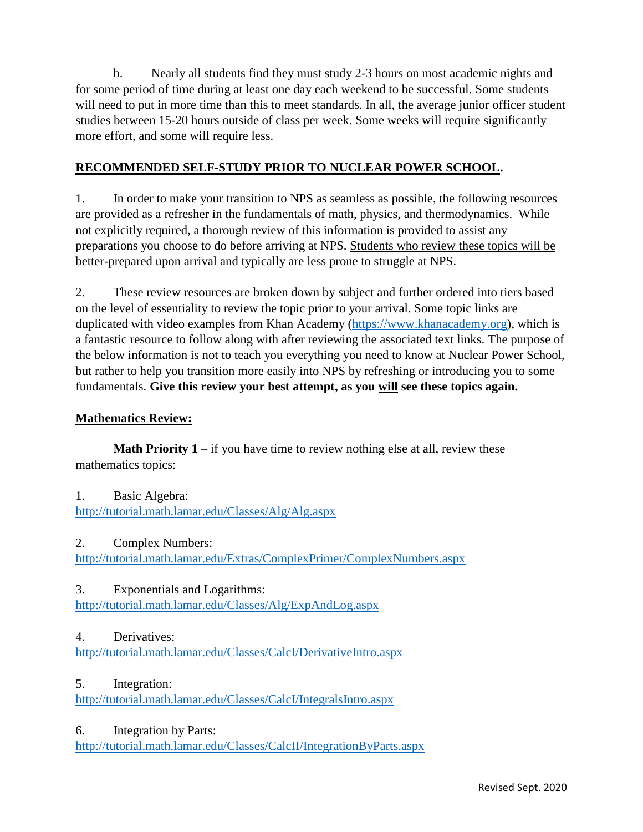b. Nearly all students find they must study 2-3 hours on most academic nights and for some period of time during at least one day each weekend to be successful. Some students will need to put in more time than this to meet standards. In all, the average junior officer student studies between 15-20 hours outside of class per week. Some weeks will require significantly more effort, and some will require less.

### **RECOMMENDED SELF-STUDY PRIOR TO NUCLEAR POWER SCHOOL.**

1. In order to make your transition to NPS as seamless as possible, the following resources are provided as a refresher in the fundamentals of math, physics, and thermodynamics. While not explicitly required, a thorough review of this information is provided to assist any preparations you choose to do before arriving at NPS. Students who review these topics will be better-prepared upon arrival and typically are less prone to struggle at NPS.

2. These review resources are broken down by subject and further ordered into tiers based on the level of essentiality to review the topic prior to your arrival. Some topic links are duplicated with video examples from Khan Academy [\(https://www.khanacademy.org\)](https://www.khanacademy.org/), which is a fantastic resource to follow along with after reviewing the associated text links. The purpose of the below information is not to teach you everything you need to know at Nuclear Power School, but rather to help you transition more easily into NPS by refreshing or introducing you to some fundamentals. **Give this review your best attempt, as you will see these topics again.**

#### **Mathematics Review:**

**Math Priority 1** – if you have time to review nothing else at all, review these mathematics topics:

- 1. Basic Algebra: <http://tutorial.math.lamar.edu/Classes/Alg/Alg.aspx>
- 2. Complex Numbers:

<http://tutorial.math.lamar.edu/Extras/ComplexPrimer/ComplexNumbers.aspx>

3. Exponentials and Logarithms:

<http://tutorial.math.lamar.edu/Classes/Alg/ExpAndLog.aspx>

#### 4. Derivatives:

<http://tutorial.math.lamar.edu/Classes/CalcI/DerivativeIntro.aspx>

### 5. Integration:

<http://tutorial.math.lamar.edu/Classes/CalcI/IntegralsIntro.aspx>

#### 6. Integration by Parts:

<http://tutorial.math.lamar.edu/Classes/CalcII/IntegrationByParts.aspx>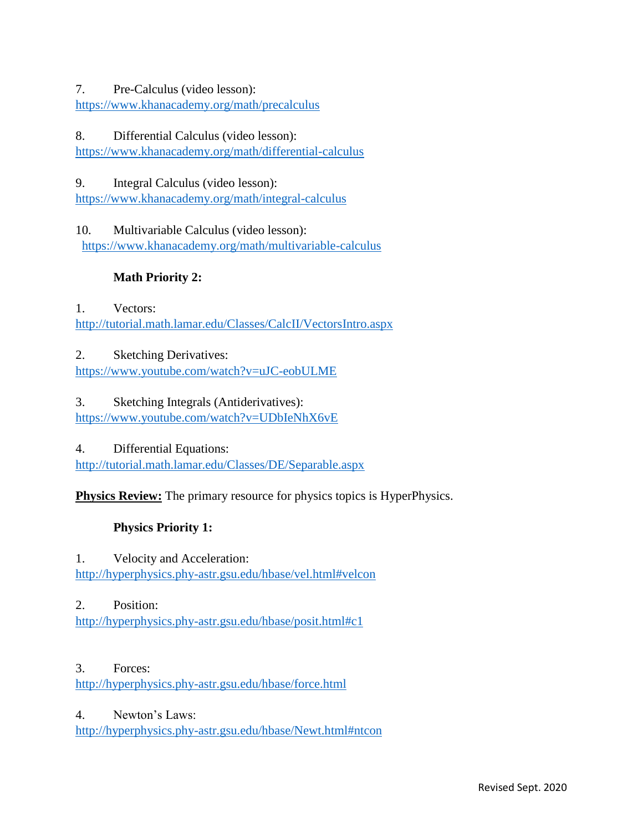#### 7. Pre-Calculus (video lesson):

<https://www.khanacademy.org/math/precalculus>

#### 8. Differential Calculus (video lesson):

<https://www.khanacademy.org/math/differential-calculus>

### 9. Integral Calculus (video lesson):

<https://www.khanacademy.org/math/integral-calculus>

10. Multivariable Calculus (video lesson): <https://www.khanacademy.org/math/multivariable-calculus>

# **Math Priority 2:**

1. Vectors: <http://tutorial.math.lamar.edu/Classes/CalcII/VectorsIntro.aspx>

2. Sketching Derivatives: <https://www.youtube.com/watch?v=uJC-eobULME>

#### 3. Sketching Integrals (Antiderivatives): <https://www.youtube.com/watch?v=UDbIeNhX6vE>

4. Differential Equations:

<http://tutorial.math.lamar.edu/Classes/DE/Separable.aspx>

**Physics Review:** The primary resource for physics topics is HyperPhysics.

# **Physics Priority 1:**

# 1. Velocity and Acceleration:

<http://hyperphysics.phy-astr.gsu.edu/hbase/vel.html#velcon>

### 2. Position:

<http://hyperphysics.phy-astr.gsu.edu/hbase/posit.html#c1>

### 3. Forces:

<http://hyperphysics.phy-astr.gsu.edu/hbase/force.html>

### 4. Newton's Laws:

<http://hyperphysics.phy-astr.gsu.edu/hbase/Newt.html#ntcon>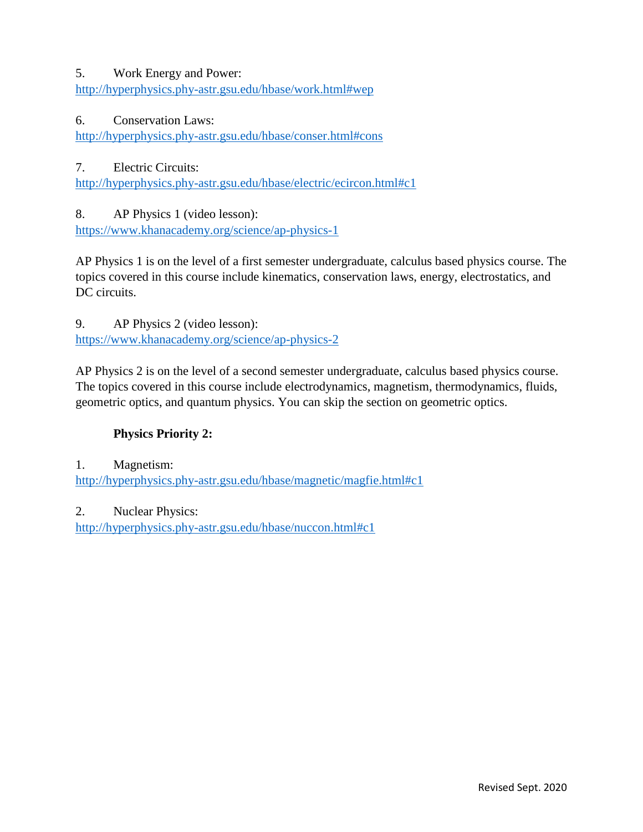#### 5. Work Energy and Power:

<http://hyperphysics.phy-astr.gsu.edu/hbase/work.html#wep>

#### 6. Conservation Laws:

<http://hyperphysics.phy-astr.gsu.edu/hbase/conser.html#cons>

7. Electric Circuits:

<http://hyperphysics.phy-astr.gsu.edu/hbase/electric/ecircon.html#c1>

8. AP Physics 1 (video lesson):

<https://www.khanacademy.org/science/ap-physics-1>

AP Physics 1 is on the level of a first semester undergraduate, calculus based physics course. The topics covered in this course include kinematics, conservation laws, energy, electrostatics, and DC circuits.

9. AP Physics 2 (video lesson):

<https://www.khanacademy.org/science/ap-physics-2>

AP Physics 2 is on the level of a second semester undergraduate, calculus based physics course. The topics covered in this course include electrodynamics, magnetism, thermodynamics, fluids, geometric optics, and quantum physics. You can skip the section on geometric optics.

### **Physics Priority 2:**

1. Magnetism:

<http://hyperphysics.phy-astr.gsu.edu/hbase/magnetic/magfie.html#c1>

2. Nuclear Physics:

<http://hyperphysics.phy-astr.gsu.edu/hbase/nuccon.html#c1>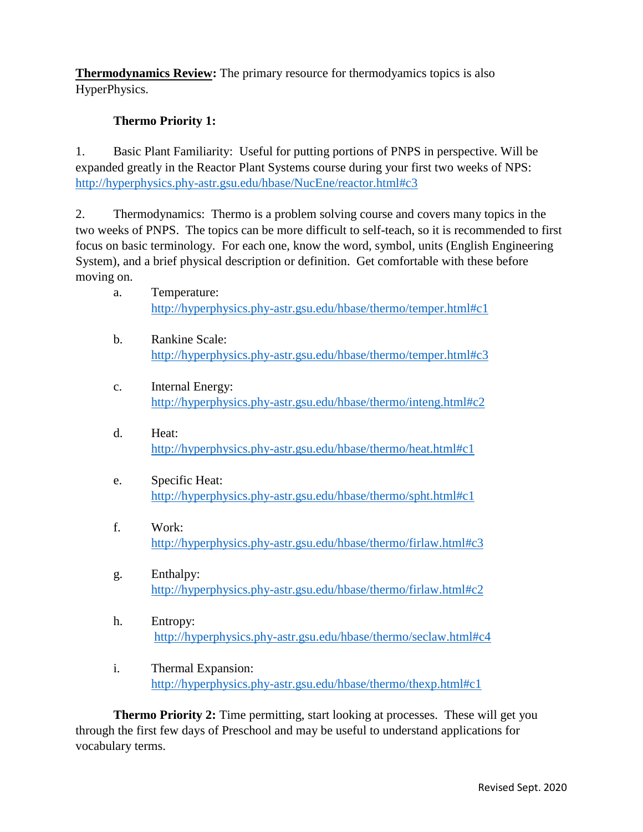**Thermodynamics Review:** The primary resource for thermodyamics topics is also HyperPhysics.

#### **Thermo Priority 1:**

1. Basic Plant Familiarity: Useful for putting portions of PNPS in perspective. Will be expanded greatly in the Reactor Plant Systems course during your first two weeks of NPS: <http://hyperphysics.phy-astr.gsu.edu/hbase/NucEne/reactor.html#c3>

2. Thermodynamics: Thermo is a problem solving course and covers many topics in the two weeks of PNPS. The topics can be more difficult to self-teach, so it is recommended to first focus on basic terminology. For each one, know the word, symbol, units (English Engineering System), and a brief physical description or definition. Get comfortable with these before moving on.

- a. Temperature: <http://hyperphysics.phy-astr.gsu.edu/hbase/thermo/temper.html#c1>
- b. Rankine Scale: <http://hyperphysics.phy-astr.gsu.edu/hbase/thermo/temper.html#c3>
- c. Internal Energy: <http://hyperphysics.phy-astr.gsu.edu/hbase/thermo/inteng.html#c2>
- d. Heat: <http://hyperphysics.phy-astr.gsu.edu/hbase/thermo/heat.html#c1>
- e. Specific Heat: <http://hyperphysics.phy-astr.gsu.edu/hbase/thermo/spht.html#c1>
- f. Work: <http://hyperphysics.phy-astr.gsu.edu/hbase/thermo/firlaw.html#c3>
- g. Enthalpy: <http://hyperphysics.phy-astr.gsu.edu/hbase/thermo/firlaw.html#c2>
- h. Entropy: <http://hyperphysics.phy-astr.gsu.edu/hbase/thermo/seclaw.html#c4>
- i. Thermal Expansion: <http://hyperphysics.phy-astr.gsu.edu/hbase/thermo/thexp.html#c1>

**Thermo Priority 2:** Time permitting, start looking at processes. These will get you through the first few days of Preschool and may be useful to understand applications for vocabulary terms.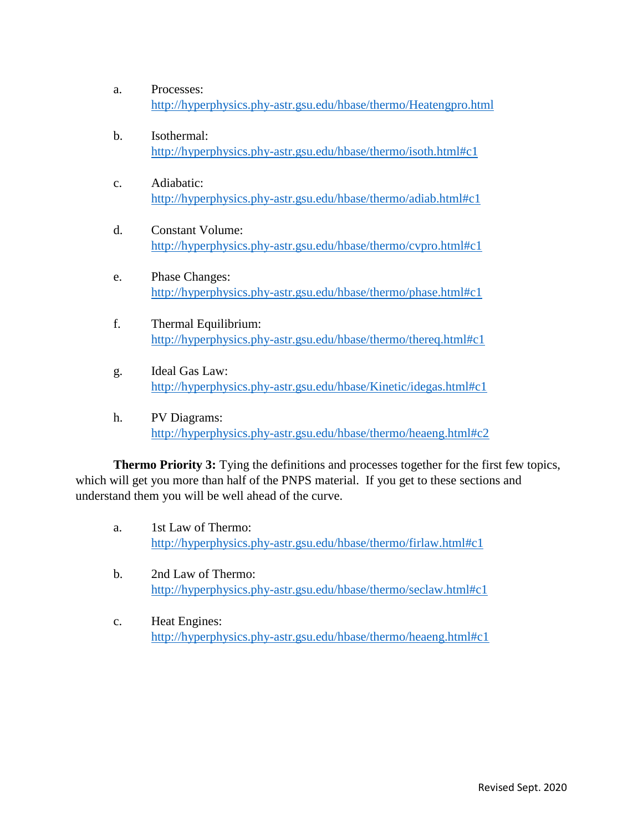- a. Processes: <http://hyperphysics.phy-astr.gsu.edu/hbase/thermo/Heatengpro.html>
- b. Isothermal: <http://hyperphysics.phy-astr.gsu.edu/hbase/thermo/isoth.html#c1>
- c. Adiabatic: <http://hyperphysics.phy-astr.gsu.edu/hbase/thermo/adiab.html#c1>
- d. Constant Volume: <http://hyperphysics.phy-astr.gsu.edu/hbase/thermo/cvpro.html#c1>
- e. Phase Changes: <http://hyperphysics.phy-astr.gsu.edu/hbase/thermo/phase.html#c1>
- f. Thermal Equilibrium: <http://hyperphysics.phy-astr.gsu.edu/hbase/thermo/thereq.html#c1>
- g. Ideal Gas Law: <http://hyperphysics.phy-astr.gsu.edu/hbase/Kinetic/idegas.html#c1>
- h. PV Diagrams: <http://hyperphysics.phy-astr.gsu.edu/hbase/thermo/heaeng.html#c2>

**Thermo Priority 3:** Tying the definitions and processes together for the first few topics, which will get you more than half of the PNPS material. If you get to these sections and understand them you will be well ahead of the curve.

- a. 1st Law of Thermo: <http://hyperphysics.phy-astr.gsu.edu/hbase/thermo/firlaw.html#c1>
- b. 2nd Law of Thermo: <http://hyperphysics.phy-astr.gsu.edu/hbase/thermo/seclaw.html#c1>
- c. Heat Engines: <http://hyperphysics.phy-astr.gsu.edu/hbase/thermo/heaeng.html#c1>